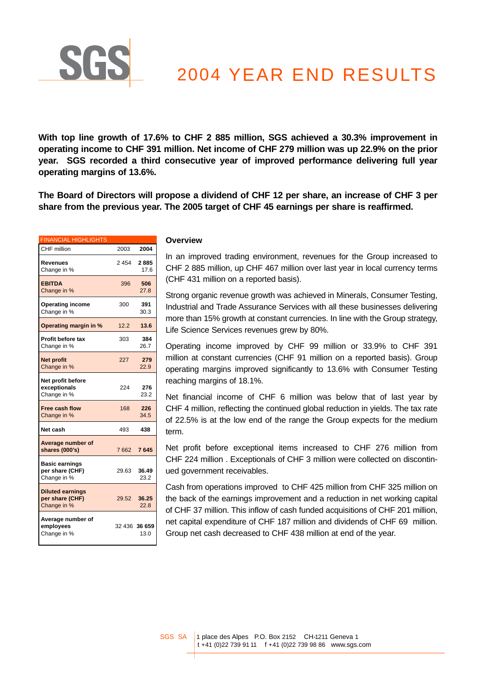

**With top line growth of 17.6% to CHF 2 885 million, SGS achieved a 30.3% improvement in operating income to CHF 391 million. Net income of CHF 279 million was up 22.9% on the prior year. SGS recorded a third consecutive year of improved performance delivering full year operating margins of 13.6%.** 

**The Board of Directors will propose a dividend of CHF 12 per share, an increase of CHF 3 per share from the previous year. The 2005 target of CHF 45 earnings per share is reaffirmed.**

| <b>FINANCIAL HIGHLIGHTS</b>                               |       |                       |
|-----------------------------------------------------------|-------|-----------------------|
| CHF million                                               | 2003  | 2004                  |
| Revenues<br>Change in %                                   | 2454  | 2885<br>17.6          |
| <b>EBITDA</b><br>Change in %                              | 396   | 506<br>27.8           |
| <b>Operating income</b><br>Change in %                    | 300   | 391<br>30.3           |
| Operating margin in %                                     | 12.2  | 13.6                  |
| <b>Profit before tax</b><br>Change in %                   | 303   | 384<br>26.7           |
| <b>Net profit</b><br>Change in %                          | 227   | 279<br>22.9           |
| Net profit before<br>exceptionals<br>Change in %          | 224   | 276<br>23.2           |
| Free cash flow<br>Change in %                             | 168   | 226<br>34.5           |
| Net cash                                                  | 493   | 438                   |
| Average number of<br>shares (000's)                       | 7662  | 7645                  |
| <b>Basic earnings</b><br>per share (CHF)<br>Change in %   | 29.63 | 36.49<br>23.2         |
| <b>Diluted earnings</b><br>per share (CHF)<br>Change in % | 29.52 | 36.25<br>22.8         |
| Average number of<br>employees<br>Change in %             |       | 32 436 36 659<br>13.0 |

SG

#### **Overview**

In an improved trading environment, revenues for the Group increased to CHF 2 885 million, up CHF 467 million over last year in local currency terms (CHF 431 million on a reported basis).

Strong organic revenue growth was achieved in Minerals, Consumer Testing, Industrial and Trade Assurance Services with all these businesses delivering more than 15% growth at constant currencies. In line with the Group strategy, Life Science Services revenues grew by 80%.

Operating income improved by CHF 99 million or 33.9% to CHF 391 million at constant currencies (CHF 91 million on a reported basis). Group operating margins improved significantly to 13.6% with Consumer Testing reaching margins of 18.1%.

Net financial income of CHF 6 million was below that of last year by CHF 4 million, reflecting the continued global reduction in yields. The tax rate of 22.5% is at the low end of the range the Group expects for the medium term.

Net profit before exceptional items increased to CHF 276 million from CHF 224 million . Exceptionals of CHF 3 million were collected on discontinued government receivables.

Cash from operations improved to CHF 425 million from CHF 325 million on the back of the earnings improvement and a reduction in net working capital of CHF 37 million. This inflow of cash funded acquisitions of CHF 201 million, net capital expenditure of CHF 187 million and dividends of CHF 69 million. Group net cash decreased to CHF 438 million at end of the year.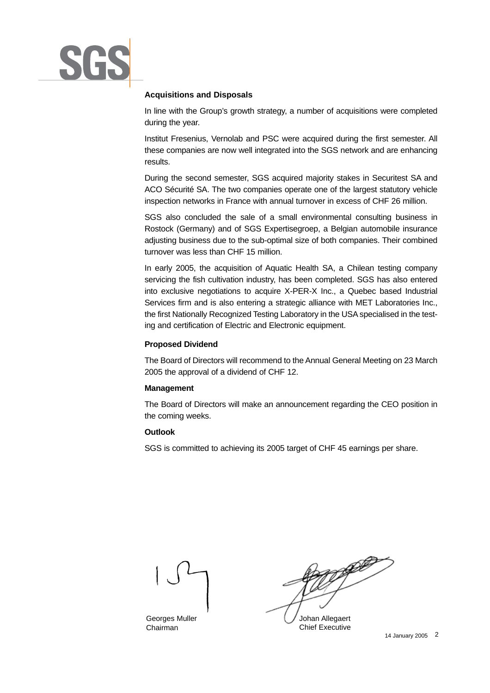

## **Acquisitions and Disposals**

In line with the Group's growth strategy, a number of acquisitions were completed during the year.

Institut Fresenius, Vernolab and PSC were acquired during the first semester. All these companies are now well integrated into the SGS network and are enhancing results.

During the second semester, SGS acquired majority stakes in Securitest SA and ACO Sécurité SA. The two companies operate one of the largest statutory vehicle inspection networks in France with annual turnover in excess of CHF 26 million.

SGS also concluded the sale of a small environmental consulting business in Rostock (Germany) and of SGS Expertisegroep, a Belgian automobile insurance adjusting business due to the sub-optimal size of both companies. Their combined turnover was less than CHF 15 million.

In early 2005, the acquisition of Aquatic Health SA, a Chilean testing company servicing the fish cultivation industry, has been completed. SGS has also entered into exclusive negotiations to acquire X-PER-X Inc., a Quebec based Industrial Services firm and is also entering a strategic alliance with MET Laboratories Inc., the first Nationally Recognized Testing Laboratory in the USA specialised in the testing and certification of Electric and Electronic equipment.

## **Proposed Dividend**

The Board of Directors will recommend to the Annual General Meeting on 23 March 2005 the approval of a dividend of CHF 12.

## **Management**

The Board of Directors will make an announcement regarding the CEO position in the coming weeks.

## **Outlook**

SGS is committed to achieving its 2005 target of CHF 45 earnings per share.



Georges Muller Chairman

Johan Allegaert Chief Executive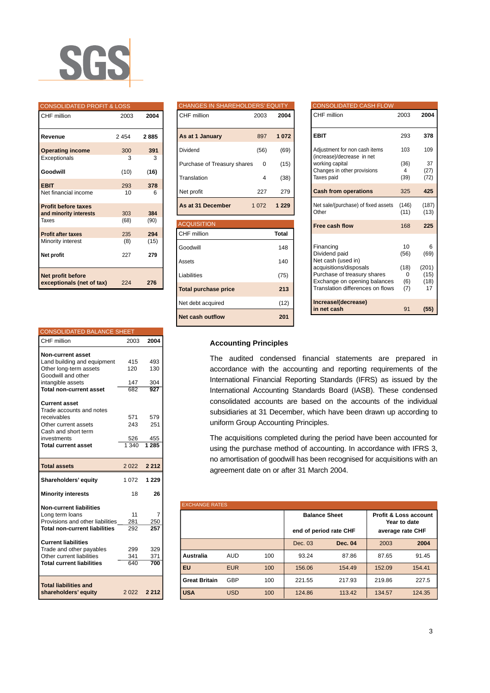

#### CONSOLIDATED PROFIT & LOSS

| CHF million                                          | 2003 | 2004 |
|------------------------------------------------------|------|------|
| Revenue                                              | 2454 | 2885 |
| <b>Operating income</b>                              | 300  | 391  |
| Exceptionals                                         | 3    | 3    |
| Goodwill                                             | (10) | (16) |
| <b>EBIT</b>                                          | 293  | 378  |
| Net financial income                                 | 10   | 6    |
| <b>Profit before taxes</b><br>and minority interests | 303  | 384  |
| Taxes                                                | (68) | (90) |
| <b>Profit after taxes</b>                            | 235  | 294  |
| Minority interest                                    | (8)  | (15) |
| Net profit                                           | 227  | 279  |
| Net profit before<br>exceptionals (net of tax)       | 224  | 276  |

| <b>CONSOLIDATED BALANCE SHEET</b>    |         |         |
|--------------------------------------|---------|---------|
| CHF million                          | 2003    | 2004    |
| <b>Non-current asset</b>             |         |         |
| Land building and equipment          | 415     | 493     |
| Other long-term assets               | 120     | 130     |
| Goodwill and other                   |         |         |
| intangible assets                    | 147     | 304     |
| <b>Total non-current asset</b>       | 682     | 927     |
|                                      |         |         |
| <b>Current asset</b>                 |         |         |
| Trade accounts and notes             |         |         |
| receivables                          | 571     | 579     |
| Other current assets                 | 243     | 251     |
| Cash and short term                  |         |         |
| investments                          | 526     | 455     |
| <b>Total current asset</b>           | 1,340   | 1285    |
|                                      |         |         |
| <b>Total assets</b>                  | 2 0 2 2 | 2 2 1 2 |
| Shareholders' equity                 | 1 0 7 2 | 1 2 2 9 |
| <b>Minority interests</b>            | 18      | 26      |
| <b>Non-current liabilities</b>       |         |         |
| Long term loans                      | 11      | 7       |
| Provisions and other liabilities     | 281     | 250     |
| <b>Total non-current liabilities</b> | 292     | 257     |
|                                      |         |         |
| <b>Current liabilities</b>           |         |         |
| Trade and other payables             | 299     | 329     |
| Other current liabilities            | 341     | 371     |
| <b>Total current liabilities</b>     | 640     | 700     |
|                                      |         |         |
| <b>Total liabilities and</b>         |         |         |
|                                      |         |         |

# CHANGES IN SHAREHOLDERS' E CHF million 2003 **2004 As at 1 January** 897 **1 072** Dividend (56) (69) Purchase of Treasury shares 0 (15) Translation 4 (38) Net profit 227 279 **As at 31 December** 1 072 **1 229 ACQUISITION** CHF million **Total**  Goodwill 148 Assets 140 Liabilities (75) **Total purchase price 213** Net debt acquired (12) **Net cash outflow 201**

| <b>CONSOLIDATED CASH FLOW</b>                               |               |               |
|-------------------------------------------------------------|---------------|---------------|
| CHF million                                                 | 2003          | 2004          |
| <b>EBIT</b>                                                 | 293           | 378           |
| Adjustment for non cash items<br>(increase)/decrease in net | 103           | 109           |
| working capital                                             | (36)          | 37            |
| Changes in other provisions<br>Taxes paid                   | 4<br>(39)     | (27)<br>(72)  |
|                                                             |               |               |
| <b>Cash from operations</b>                                 | 325           | 425           |
| Net sale/(purchase) of fixed assets<br>Other                | (146)<br>(11) | (187)<br>(13) |
| Free cash flow                                              | 168           | 225           |
|                                                             |               |               |
| Financing<br>Dividend paid                                  | 10<br>(56)    | 6<br>(69)     |
| Net cash (used in)                                          |               |               |
| acquisitions/disposals<br>Purchase of treasury shares       | (18)<br>0     | (201)<br>(15) |
| Exchange on opening balances                                | (6)           | (18)          |
| Translation differences on flows                            | (7)           | 17            |
| Increase/(decrease)                                         |               |               |
| in net cash                                                 | 91            | (55)          |

## **Accounting Principles**

The audited condensed financial statements are prepared in accordance with the accounting and reporting requirements of the International Financial Reporting Standards (IFRS) as issued by the International Accounting Standards Board (IASB). These condensed consolidated accounts are based on the accounts of the individual subsidiaries at 31 December, which have been drawn up according to uniform Group Accounting Principles.

The acquisitions completed during the period have been accounted for using the purchase method of accounting. In accordance with IFRS 3, no amortisation of goodwill has been recognised for acquisitions with an agreement date on or after 31 March 2004.

| <b>EXCHANGE RATES</b> |            |     |                        |         |                  |                                                  |
|-----------------------|------------|-----|------------------------|---------|------------------|--------------------------------------------------|
|                       |            |     | <b>Balance Sheet</b>   |         |                  | <b>Profit &amp; Loss account</b><br>Year to date |
|                       |            |     | end of period rate CHF |         | average rate CHF |                                                  |
|                       |            |     | Dec. 03                | Dec. 04 | 2003             | 2004                                             |
| Australia             | <b>AUD</b> | 100 | 93.24                  | 87.86   | 87.65            | 91.45                                            |
| l Eu                  | <b>EUR</b> | 100 | 156.06                 | 154.49  | 152.09           | 154.41                                           |
| <b>Great Britain</b>  | GBP        | 100 | 221.55                 | 217.93  | 219.86           | 227.5                                            |
| <b>USA</b>            | <b>USD</b> | 100 | 124.86                 | 113.42  | 134.57           | 124.35                                           |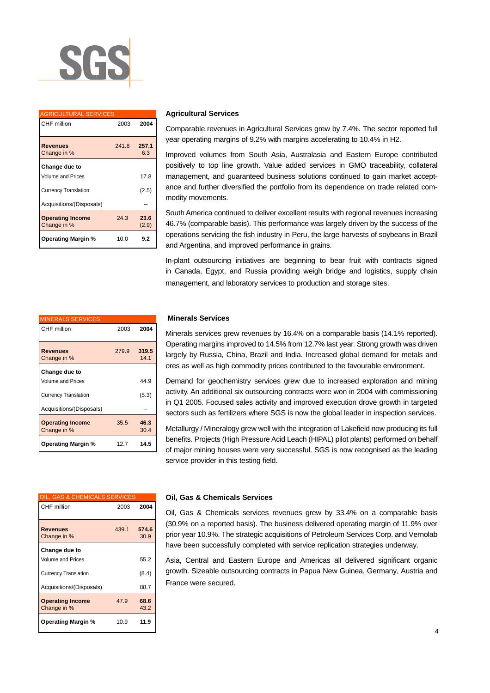

| <b>AGRICULTURAL SERVICES</b>           |       |               |
|----------------------------------------|-------|---------------|
| CHF million                            | 2003  | 2004          |
| <b>Revenues</b><br>Change in %         | 241.8 | 257.1<br>6.3  |
| Change due to                          |       |               |
| Volume and Prices                      |       | 17.8          |
| <b>Currency Translation</b>            |       | (2.5)         |
| Acquisitions/(Disposals)               |       |               |
| <b>Operating Income</b><br>Change in % | 24.3  | 23.6<br>(2.9) |
| <b>Operating Margin %</b>              | 10.0  | 9.2           |

| <b>Agricultural Services</b> |
|------------------------------|
|------------------------------|

Comparable revenues in Agricultural Services grew by 7.4%. The sector reported full year operating margins of 9.2% with margins accelerating to 10.4% in H2.

Improved volumes from South Asia, Australasia and Eastern Europe contributed positively to top line growth. Value added services in GMO traceability, collateral management, and guaranteed business solutions continued to gain market acceptance and further diversified the portfolio from its dependence on trade related commodity movements.

South America continued to deliver excellent results with regional revenues increasing 46.7% (comparable basis). This performance was largely driven by the success of the operations servicing the fish industry in Peru, the large harvests of soybeans in Brazil and Argentina, and improved performance in grains.

In-plant outsourcing initiatives are beginning to bear fruit with contracts signed in Canada, Egypt, and Russia providing weigh bridge and logistics, supply chain management, and laboratory services to production and storage sites.

| <b>MINERALS SERVICES</b>               |       |               |
|----------------------------------------|-------|---------------|
| CHF million                            | 2003  | 2004          |
| <b>Revenues</b><br>Change in %         | 279.9 | 319.5<br>14.1 |
| Change due to                          |       |               |
| Volume and Prices                      |       | 44.9          |
| <b>Currency Translation</b>            |       | (5.3)         |
| Acquisitions/(Disposals)               |       |               |
| <b>Operating Income</b><br>Change in % | 35.5  | 46.3<br>30.4  |
| <b>Operating Margin %</b>              | 12.7  | 14.5          |

| OIL, GAS & CHEMICALS SERVICES          |       |              |
|----------------------------------------|-------|--------------|
| CHF million                            | 2003  | 2004         |
|                                        |       |              |
| <b>Revenues</b>                        | 439.1 | 574.6        |
| Change in %                            |       | 30.9         |
| Change due to                          |       |              |
| <b>Volume and Prices</b>               |       | 55.2         |
| <b>Currency Translation</b>            |       | (8.4)        |
| Acquisitions/(Disposals)               |       | 88.7         |
| <b>Operating Income</b><br>Change in % | 47.9  | 68.6<br>43.2 |
| <b>Operating Margin %</b>              | 10.9  | 11.9         |

#### **Minerals Services**

Minerals services grew revenues by 16.4% on a comparable basis (14.1% reported). Operating margins improved to 14.5% from 12.7% last year. Strong growth was driven largely by Russia, China, Brazil and India. Increased global demand for metals and ores as well as high commodity prices contributed to the favourable environment.

Demand for geochemistry services grew due to increased exploration and mining activity. An additional six outsourcing contracts were won in 2004 with commissioning in Q1 2005. Focused sales activity and improved execution drove growth in targeted sectors such as fertilizers where SGS is now the global leader in inspection services.

Metallurgy / Mineralogy grew well with the integration of Lakefield now producing its full benefits. Projects (High Pressure Acid Leach (HIPAL) pilot plants) performed on behalf of major mining houses were very successful. SGS is now recognised as the leading service provider in this testing field.

#### **Oil, Gas & Chemicals Services**

Oil, Gas & Chemicals services revenues grew by 33.4% on a comparable basis (30.9% on a reported basis). The business delivered operating margin of 11.9% over prior year 10.9%. The strategic acquisitions of Petroleum Services Corp. and Vernolab have been successfully completed with service replication strategies underway.

Asia, Central and Eastern Europe and Americas all delivered significant organic growth. Sizeable outsourcing contracts in Papua New Guinea, Germany, Austria and France were secured.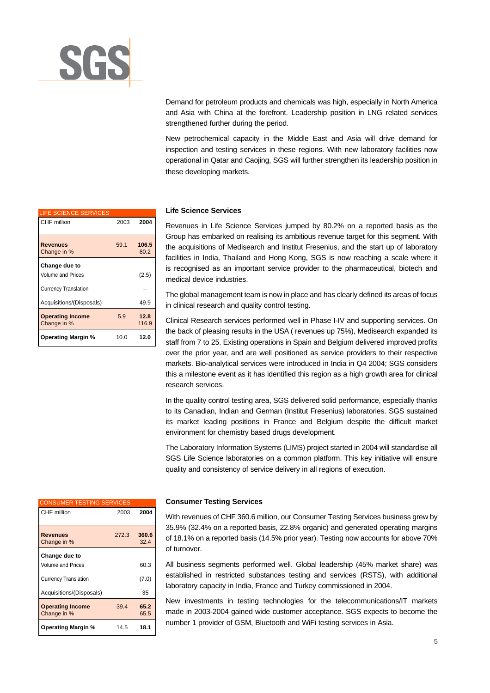

Demand for petroleum products and chemicals was high, especially in North America and Asia with China at the forefront. Leadership position in LNG related services strengthened further during the period.

New petrochemical capacity in the Middle East and Asia will drive demand for inspection and testing services in these regions. With new laboratory facilities now operational in Qatar and Caojing, SGS will further strengthen its leadership position in these developing markets.

# LIFE SCIENCE SERVICES CHF million 2003 **2004 Revenues** 59.1 **106.5** Change in % 80.2 **Change due to** Volume and Prices (2.5) Currency Translation Acquisitions/(Disposals) 49.9 **Operating Income** 5.9 **12.8** Change in % 116.9 **Operating Margin %** 10.0 **12.0**

#### **Life Science Services**

Revenues in Life Science Services jumped by 80.2% on a reported basis as the Group has embarked on realising its ambitious revenue target for this segment. With the acquisitions of Medisearch and Institut Fresenius, and the start up of laboratory facilities in India, Thailand and Hong Kong, SGS is now reaching a scale where it is recognised as an important service provider to the pharmaceutical, biotech and medical device industries.

The global management team is now in place and has clearly defined its areas of focus in clinical research and quality control testing.

Clinical Research services performed well in Phase I-IV and supporting services. On the back of pleasing results in the USA ( revenues up 75%), Medisearch expanded its staff from 7 to 25. Existing operations in Spain and Belgium delivered improved profits over the prior year, and are well positioned as service providers to their respective markets. Bio-analytical services were introduced in India in Q4 2004; SGS considers this a milestone event as it has identified this region as a high growth area for clinical research services.

In the quality control testing area, SGS delivered solid performance, especially thanks to its Canadian, Indian and German (Institut Fresenius) laboratories. SGS sustained its market leading positions in France and Belgium despite the difficult market environment for chemistry based drugs development.

The Laboratory Information Systems (LIMS) project started in 2004 will standardise all SGS Life Science laboratories on a common platform. This key initiative will ensure quality and consistency of service delivery in all regions of execution.

| <b>CONSUMER TESTING SERVICES</b>       |       |               |
|----------------------------------------|-------|---------------|
| CHF million                            | 2003  | 2004          |
| <b>Revenues</b><br>Change in %         | 272.3 | 360.6<br>32.4 |
| Change due to                          |       |               |
| Volume and Prices                      |       | 60.3          |
| <b>Currency Translation</b>            |       | (7.0)         |
| Acquisitions/(Disposals)               |       | 35            |
| <b>Operating Income</b><br>Change in % | 39.4  | 65.2<br>65.5  |
| <b>Operating Margin %</b>              | 14.5  | 18.1          |

#### **Consumer Testing Services**

With revenues of CHF 360.6 million, our Consumer Testing Services business grew by 35.9% (32.4% on a reported basis, 22.8% organic) and generated operating margins of 18.1% on a reported basis (14.5% prior year). Testing now accounts for above 70% of turnover.

All business segments performed well. Global leadership (45% market share) was established in restricted substances testing and services (RSTS), with additional laboratory capacity in India, France and Turkey commissioned in 2004.

New investments in testing technologies for the telecommunications/IT markets made in 2003-2004 gained wide customer acceptance. SGS expects to become the number 1 provider of GSM, Bluetooth and WiFi testing services in Asia.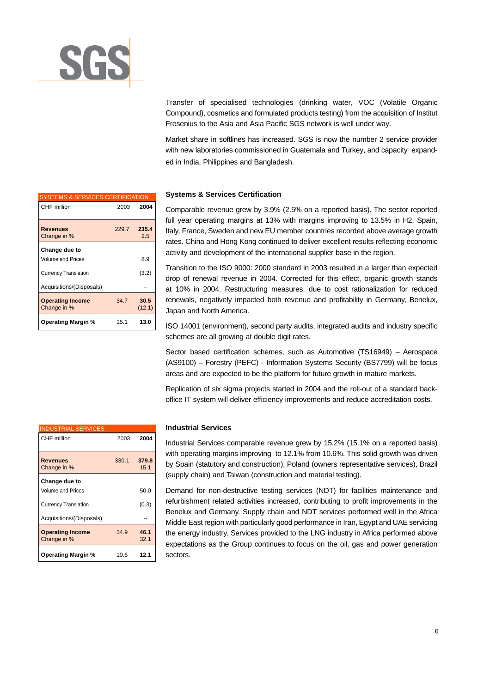

Transfer of specialised technologies (drinking water, VOC (Volatile Organic Compound), cosmetics and formulated products testing) from the acquisition of Institut Fresenius to the Asia and Asia Pacific SGS network is well under way.

Market share in softlines has increased. SGS is now the number 2 service provider with new laboratories commissioned in Guatemala and Turkey, and capacity expanded in India, Philippines and Bangladesh.

Comparable revenue grew by 3.9% (2.5% on a reported basis). The sector reported full year operating margins at 13% with margins improving to 13.5% in H2. Spain, Italy, France, Sweden and new EU member countries recorded above average growth rates. China and Hong Kong continued to deliver excellent results reflecting economic activity and development of the international supplier base in the region.

Transition to the ISO 9000: 2000 standard in 2003 resulted in a larger than expected drop of renewal revenue in 2004. Corrected for this effect, organic growth stands at 10% in 2004. Restructuring measures, due to cost rationalization for reduced renewals, negatively impacted both revenue and profitability in Germany, Benelux, Japan and North America.

ISO 14001 (environment), second party audits, integrated audits and industry specific schemes are all growing at double digit rates.

Sector based certification schemes, such as Automotive (TS16949) – Aerospace (AS9100) – Forestry (PEFC) - Information Systems Security (BS7799) will be focus areas and are expected to be the platform for future growth in mature markets.

Replication of six sigma projects started in 2004 and the roll-out of a standard backoffice IT system will deliver efficiency improvements and reduce accreditation costs.

## **Industrial Services**

Industrial Services comparable revenue grew by 15.2% (15.1% on a reported basis) with operating margins improving to 12.1% from 10.6%. This solid growth was driven by Spain (statutory and construction), Poland (owners representative services), Brazil (supply chain) and Taiwan (construction and material testing).

Demand for non-destructive testing services (NDT) for facilities maintenance and refurbishment related activities increased, contributing to profit improvements in the Benelux and Germany. Supply chain and NDT services performed well in the Africa Middle East region with particularly good performance in Iran, Egypt and UAE servicing the energy industry. Services provided to the LNG industry in Africa performed above expectations as the Group continues to focus on the oil, gas and power generation sectors.

| <b>SYSTEMS &amp; SERVICES CERTIFICATION</b> |       |                |
|---------------------------------------------|-------|----------------|
| CHF million                                 | 2003  | 2004           |
| <b>Revenues</b><br>Change in %              | 229.7 | 235.4<br>2.5   |
| Change due to                               |       |                |
| Volume and Prices                           |       | 8.9            |
| <b>Currency Translation</b>                 |       | (3.2)          |
| Acquisitions/(Disposals)                    |       |                |
| <b>Operating Income</b><br>Change in %      | 347   | 30.5<br>(12.1) |
| <b>Operating Margin %</b>                   | 15.1  | 13.0           |

| <b>INDUSTRIAL SERVICES</b>             |       |               |
|----------------------------------------|-------|---------------|
| CHF million                            | 2003  | 2004          |
| <b>Revenues</b><br>Change in %         | 330.1 | 379.8<br>15.1 |
| Change due to                          |       |               |
| Volume and Prices                      |       | 50.0          |
| <b>Currency Translation</b>            |       | (0.3)         |
| Acquisitions/(Disposals)               |       |               |
| <b>Operating Income</b><br>Change in % | 34.9  | 46.1<br>32.1  |
| <b>Operating Margin %</b>              | 10.6  | 12.1          |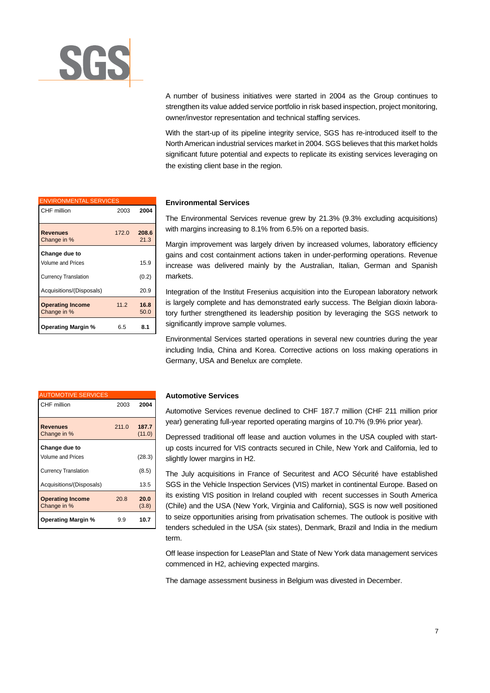

A number of business initiatives were started in 2004 as the Group continues to strengthen its value added service portfolio in risk based inspection, project monitoring, owner/investor representation and technical staffing services.

With the start-up of its pipeline integrity service, SGS has re-introduced itself to the North American industrial services market in 2004. SGS believes that this market holds significant future potential and expects to replicate its existing services leveraging on the existing client base in the region.

| <b>ENVIRONMENTAL SERVICES</b>          |       |               |  |
|----------------------------------------|-------|---------------|--|
| CHF million                            | 2003  | 2004          |  |
| <b>Revenues</b><br>Change in %         | 172.0 | 208.6<br>21.3 |  |
| Change due to                          |       |               |  |
| Volume and Prices                      |       | 15.9          |  |
| <b>Currency Translation</b>            |       | (0.2)         |  |
| Acquisitions/(Disposals)               |       | 20.9          |  |
| <b>Operating Income</b><br>Change in % | 11.2  | 16.8<br>50.0  |  |
| <b>Operating Margin %</b>              | 6.5   | 8.1           |  |

| <b>AUTOMOTIVE SERVICES</b>             |       |                 |
|----------------------------------------|-------|-----------------|
| CHF million                            | 2003  | 2004            |
| <b>Revenues</b><br>Change in %         | 211.0 | 187.7<br>(11.0) |
| Change due to                          |       |                 |
| Volume and Prices                      |       | (28.3)          |
| <b>Currency Translation</b>            |       | (8.5)           |
| Acquisitions/(Disposals)               |       | 13.5            |
| <b>Operating Income</b><br>Change in % | 20.8  | 20.0<br>(3.8)   |
| <b>Operating Margin %</b>              | 9.9   | 10.7            |

#### **Environmental Services**

The Environmental Services revenue grew by 21.3% (9.3% excluding acquisitions) with margins increasing to 8.1% from 6.5% on a reported basis.

Margin improvement was largely driven by increased volumes, laboratory efficiency gains and cost containment actions taken in under-performing operations. Revenue increase was delivered mainly by the Australian, Italian, German and Spanish markets.

Integration of the Institut Fresenius acquisition into the European laboratory network is largely complete and has demonstrated early success. The Belgian dioxin laboratory further strengthened its leadership position by leveraging the SGS network to significantly improve sample volumes.

Environmental Services started operations in several new countries during the year including India, China and Korea. Corrective actions on loss making operations in Germany, USA and Benelux are complete.

## **Automotive Services**

Automotive Services revenue declined to CHF 187.7 million (CHF 211 million prior year) generating full-year reported operating margins of 10.7% (9.9% prior year).

Depressed traditional off lease and auction volumes in the USA coupled with startup costs incurred for VIS contracts secured in Chile, New York and California, led to slightly lower margins in H2.

The July acquisitions in France of Securitest and ACO Sécurité have established SGS in the Vehicle Inspection Services (VIS) market in continental Europe. Based on its existing VIS position in Ireland coupled with recent successes in South America (Chile) and the USA (New York, Virginia and California), SGS is now well positioned to seize opportunities arising from privatisation schemes. The outlook is positive with tenders scheduled in the USA (six states), Denmark, Brazil and India in the medium term.

Off lease inspection for LeasePlan and State of New York data management services commenced in H2, achieving expected margins.

The damage assessment business in Belgium was divested in December.